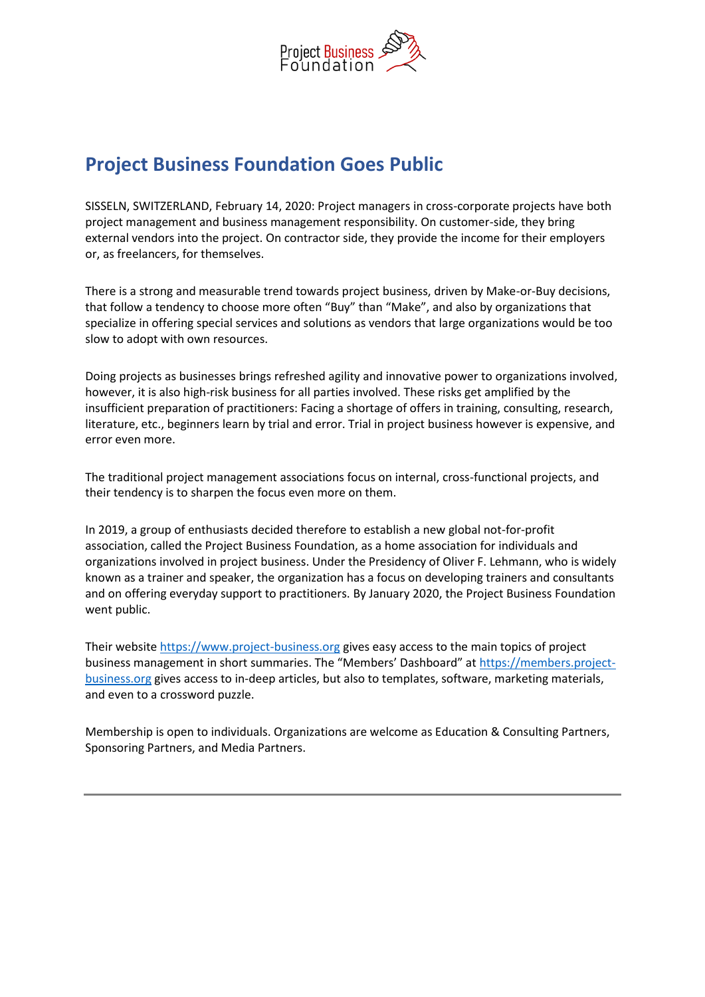

## **Project Business Foundation Goes Public**

SISSELN, SWITZERLAND, February 14, 2020: Project managers in cross-corporate projects have both project management and business management responsibility. On customer-side, they bring external vendors into the project. On contractor side, they provide the income for their employers or, as freelancers, for themselves.

There is a strong and measurable trend towards project business, driven by Make-or-Buy decisions, that follow a tendency to choose more often "Buy" than "Make", and also by organizations that specialize in offering special services and solutions as vendors that large organizations would be too slow to adopt with own resources.

Doing projects as businesses brings refreshed agility and innovative power to organizations involved, however, it is also high-risk business for all parties involved. These risks get amplified by the insufficient preparation of practitioners: Facing a shortage of offers in training, consulting, research, literature, etc., beginners learn by trial and error. Trial in project business however is expensive, and error even more.

The traditional project management associations focus on internal, cross-functional projects, and their tendency is to sharpen the focus even more on them.

In 2019, a group of enthusiasts decided therefore to establish a new global not-for-profit association, called the Project Business Foundation, as a home association for individuals and organizations involved in project business. Under the Presidency of Oliver F. Lehmann, who is widely known as a trainer and speaker, the organization has a focus on developing trainers and consultants and on offering everyday support to practitioners. By January 2020, the Project Business Foundation went public.

Their website [https://www.project-business.org](https://www.project-business.org/) gives easy access to the main topics of project business management in short summaries. The "Members' Dashboard" at [https://members.project](https://members.project-business.org/)[business.org](https://members.project-business.org/) gives access to in-deep articles, but also to templates, software, marketing materials, and even to a crossword puzzle.

Membership is open to individuals. Organizations are welcome as Education & Consulting Partners, Sponsoring Partners, and Media Partners.